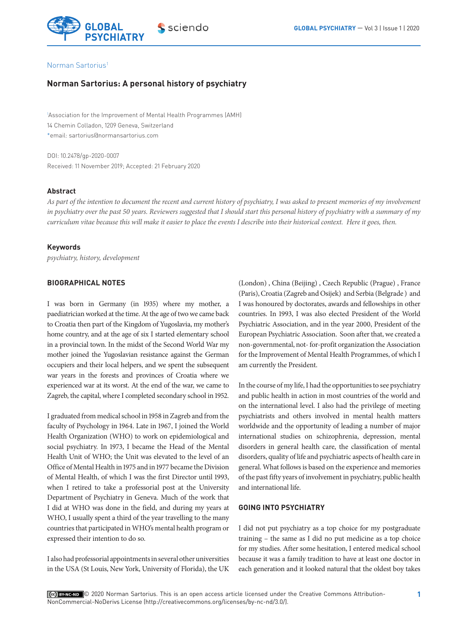

## Norman Sartorius1

# **Norman Sartorius: A personal history of psychiatry**

1 Association for the Improvement of Mental Health Programmes (AMH) 14 Chemin Colladon, 1209 Geneva, Switzerland \*email: sartorius@normansartorius.com

DOI: 10.2478/gp-2020-0007 Received: 11 November 2019; Accepted: 21 February 2020

## **Abstract**

*As part of the intention to document the recent and current history of psychiatry, I was asked to present memories of my involvement in psychiatry over the past 50 years. Reviewers suggested that I should start this personal history of psychiatry with a summary of my curriculum vitae because this will make it easier to place the events I describe into their historical context. Here it goes, then.*

#### **Keywords**

*psychiatry, history, development*

## **BIOGRAPHICAL NOTES**

I was born in Germany (in 1935) where my mother, a paediatrician worked at the time. At the age of two we came back to Croatia then part of the Kingdom of Yugoslavia, my mother's home country, and at the age of six I started elementary school in a provincial town. In the midst of the Second World War my mother joined the Yugoslavian resistance against the German occupiers and their local helpers, and we spent the subsequent war years in the forests and provinces of Croatia where we experienced war at its worst. At the end of the war, we came to Zagreb, the capital, where I completed secondary school in 1952.

I graduated from medical school in 1958 in Zagreb and from the faculty of Psychology in 1964. Late in 1967, I joined the World Health Organization (WHO) to work on epidemiological and social psychiatry. In 1973, I became the Head of the Mental Health Unit of WHO; the Unit was elevated to the level of an Office of Mental Health in 1975 and in 1977 became the Division of Mental Health, of which I was the first Director until 1993, when I retired to take a professorial post at the University Department of Psychiatry in Geneva. Much of the work that I did at WHO was done in the field, and during my years at WHO, I usually spent a third of the year travelling to the many countries that participated in WHO's mental health program or expressed their intention to do so.

I also had professorial appointments in several other universities in the USA (St Louis, New York, University of Florida), the UK (London) , China (Beijing) , Czech Republic (Prague) , France (Paris), Croatia (Zagreb and Osijek) and Serbia (Belgrade ) and I was honoured by doctorates, awards and fellowships in other countries. In 1993, I was also elected President of the World Psychiatric Association, and in the year 2000, President of the European Psychiatric Association. Soon after that, we created a non-governmental, not- for-profit organization the Association for the Improvement of Mental Health Programmes, of which I am currently the President.

In the course of my life, I had the opportunities to see psychiatry and public health in action in most countries of the world and on the international level. I also had the privilege of meeting psychiatrists and others involved in mental health matters worldwide and the opportunity of leading a number of major international studies on schizophrenia, depression, mental disorders in general health care, the classification of mental disorders, quality of life and psychiatric aspects of health care in general. What follows is based on the experience and memories of the past fifty years of involvement in psychiatry, public health and international life.

## **GOING INTO PSYCHIATRY**

I did not put psychiatry as a top choice for my postgraduate training – the same as I did no put medicine as a top choice for my studies. After some hesitation, I entered medical school because it was a family tradition to have at least one doctor in each generation and it looked natural that the oldest boy takes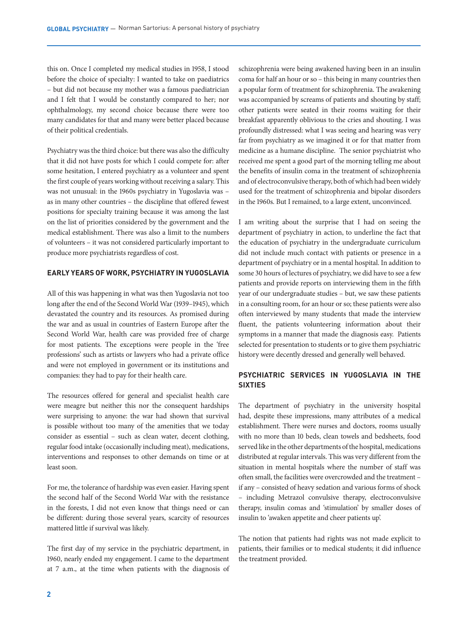this on. Once I completed my medical studies in 1958, I stood before the choice of specialty: I wanted to take on paediatrics – but did not because my mother was a famous paediatrician and I felt that I would be constantly compared to her; nor ophthalmology, my second choice because there were too many candidates for that and many were better placed because of their political credentials.

Psychiatry was the third choice: but there was also the difficulty that it did not have posts for which I could compete for: after some hesitation, I entered psychiatry as a volunteer and spent the first couple of years working without receiving a salary. This was not unusual: in the 1960s psychiatry in Yugoslavia was – as in many other countries – the discipline that offered fewest positions for specialty training because it was among the last on the list of priorities considered by the government and the medical establishment. There was also a limit to the numbers of volunteers – it was not considered particularly important to produce more psychiatrists regardless of cost.

# **EARLY YEARS OF WORK, PSYCHIATRY IN YUGOSLAVIA**

All of this was happening in what was then Yugoslavia not too long after the end of the Second World War (1939–1945), which devastated the country and its resources. As promised during the war and as usual in countries of Eastern Europe after the Second World War, health care was provided free of charge for most patients. The exceptions were people in the 'free professions' such as artists or lawyers who had a private office and were not employed in government or its institutions and companies: they had to pay for their health care.

The resources offered for general and specialist health care were meagre but neither this nor the consequent hardships were surprising to anyone: the war had shown that survival is possible without too many of the amenities that we today consider as essential – such as clean water, decent clothing, regular food intake (occasionally including meat), medications, interventions and responses to other demands on time or at least soon.

For me, the tolerance of hardship was even easier. Having spent the second half of the Second World War with the resistance in the forests, I did not even know that things need or can be different: during those several years, scarcity of resources mattered little if survival was likely.

The first day of my service in the psychiatric department, in 1960, nearly ended my engagement. I came to the department at 7 a.m., at the time when patients with the diagnosis of schizophrenia were being awakened having been in an insulin coma for half an hour or so – this being in many countries then a popular form of treatment for schizophrenia. The awakening was accompanied by screams of patients and shouting by staff; other patients were seated in their rooms waiting for their breakfast apparently oblivious to the cries and shouting. I was profoundly distressed: what I was seeing and hearing was very far from psychiatry as we imagined it or for that matter from medicine as a humane discipline. The senior psychiatrist who received me spent a good part of the morning telling me about the benefits of insulin coma in the treatment of schizophrenia and of electroconvulsive therapy, both of which had been widely used for the treatment of schizophrenia and bipolar disorders in the 1960s. But I remained, to a large extent, unconvinced.

I am writing about the surprise that I had on seeing the department of psychiatry in action, to underline the fact that the education of psychiatry in the undergraduate curriculum did not include much contact with patients or presence in a department of psychiatry or in a mental hospital. In addition to some 30 hours of lectures of psychiatry, we did have to see a few patients and provide reports on interviewing them in the fifth year of our undergraduate studies – but, we saw these patients in a consulting room, for an hour or so; these patients were also often interviewed by many students that made the interview fluent, the patients volunteering information about their symptoms in a manner that made the diagnosis easy. Patients selected for presentation to students or to give them psychiatric history were decently dressed and generally well behaved.

# **PSYCHIATRIC SERVICES IN YUGOSLAVIA IN THE SIXTIES**

The department of psychiatry in the university hospital had, despite these impressions, many attributes of a medical establishment. There were nurses and doctors, rooms usually with no more than 10 beds, clean towels and bedsheets, food served like in the other departments of the hospital, medications distributed at regular intervals. This was very different from the situation in mental hospitals where the number of staff was often small, the facilities were overcrowded and the treatment – if any – consisted of heavy sedation and various forms of shock – including Metrazol convulsive therapy, electroconvulsive therapy, insulin comas and 'stimulation' by smaller doses of insulin to 'awaken appetite and cheer patients up'.

The notion that patients had rights was not made explicit to patients, their families or to medical students; it did influence the treatment provided.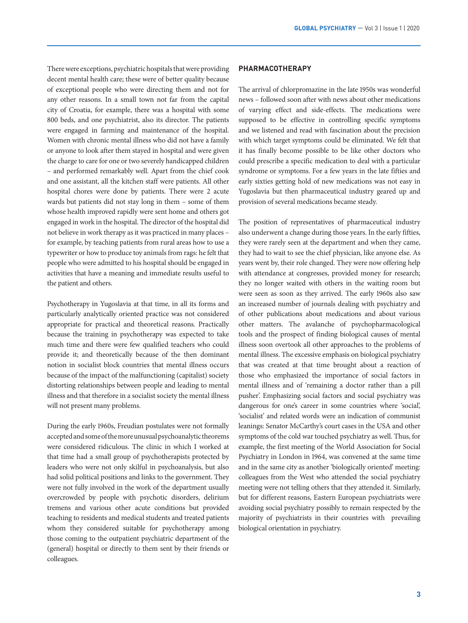There were exceptions, psychiatric hospitals that were providing decent mental health care; these were of better quality because of exceptional people who were directing them and not for any other reasons. In a small town not far from the capital city of Croatia, for example, there was a hospital with some 800 beds, and one psychiatrist, also its director. The patients were engaged in farming and maintenance of the hospital. Women with chronic mental illness who did not have a family or anyone to look after them stayed in hospital and were given the charge to care for one or two severely handicapped children – and performed remarkably well. Apart from the chief cook and one assistant, all the kitchen staff were patients. All other hospital chores were done by patients. There were 2 acute wards but patients did not stay long in them – some of them whose health improved rapidly were sent home and others got engaged in work in the hospital. The director of the hospital did not believe in work therapy as it was practiced in many places – for example, by teaching patients from rural areas how to use a typewriter or how to produce toy animals from rags: he felt that people who were admitted to his hospital should be engaged in activities that have a meaning and immediate results useful to the patient and others.

Psychotherapy in Yugoslavia at that time, in all its forms and particularly analytically oriented practice was not considered appropriate for practical and theoretical reasons. Practically because the training in psychotherapy was expected to take much time and there were few qualified teachers who could provide it; and theoretically because of the then dominant notion in socialist block countries that mental illness occurs because of the impact of the malfunctioning (capitalist) society distorting relationships between people and leading to mental illness and that therefore in a socialist society the mental illness will not present many problems.

During the early 1960s, Freudian postulates were not formally accepted and some of the more unusual psychoanalytic theorems were considered ridiculous. The clinic in which I worked at that time had a small group of psychotherapists protected by leaders who were not only skilful in psychoanalysis, but also had solid political positions and links to the government. They were not fully involved in the work of the department usually overcrowded by people with psychotic disorders, delirium tremens and various other acute conditions but provided teaching to residents and medical students and treated patients whom they considered suitable for psychotherapy among those coming to the outpatient psychiatric department of the (general) hospital or directly to them sent by their friends or colleagues.

#### **PHARMACOTHERAPY**

The arrival of chlorpromazine in the late 1950s was wonderful news – followed soon after with news about other medications of varying effect and side-effects. The medications were supposed to be effective in controlling specific symptoms and we listened and read with fascination about the precision with which target symptoms could be eliminated. We felt that it has finally become possible to be like other doctors who could prescribe a specific medication to deal with a particular syndrome or symptoms. For a few years in the late fifties and early sixties getting hold of new medications was not easy in Yugoslavia but then pharmaceutical industry geared up and provision of several medications became steady.

The position of representatives of pharmaceutical industry also underwent a change during those years. In the early fifties, they were rarely seen at the department and when they came, they had to wait to see the chief physician, like anyone else. As years went by, their role changed. They were now offering help with attendance at congresses, provided money for research; they no longer waited with others in the waiting room but were seen as soon as they arrived. The early 1960s also saw an increased number of journals dealing with psychiatry and of other publications about medications and about various other matters. The avalanche of psychopharmacological tools and the prospect of finding biological causes of mental illness soon overtook all other approaches to the problems of mental illness. The excessive emphasis on biological psychiatry that was created at that time brought about a reaction of those who emphasized the importance of social factors in mental illness and of 'remaining a doctor rather than a pill pusher'. Emphasizing social factors and social psychiatry was dangerous for one's career in some countries where 'social', 'socialist' and related words were an indication of communist leanings: Senator McCarthy's court cases in the USA and other symptoms of the cold war touched psychiatry as well. Thus, for example, the first meeting of the World Association for Social Psychiatry in London in 1964, was convened at the same time and in the same city as another 'biologically oriented' meeting: colleagues from the West who attended the social psychiatry meeting were not telling others that they attended it. Similarly, but for different reasons, Eastern European psychiatrists were avoiding social psychiatry possibly to remain respected by the majority of psychiatrists in their countries with prevailing biological orientation in psychiatry.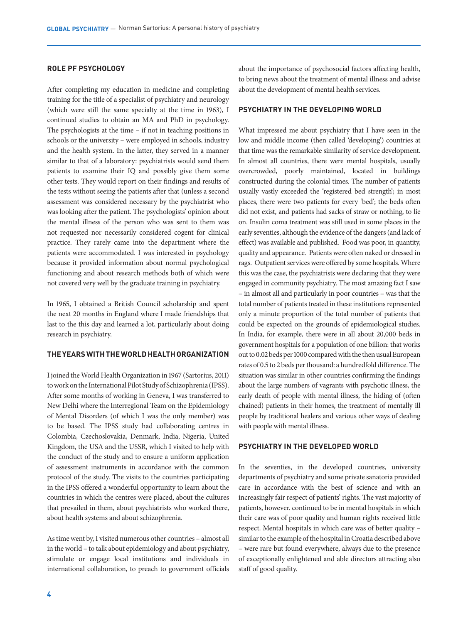### **ROLE PF PSYCHOLOGY**

After completing my education in medicine and completing training for the title of a specialist of psychiatry and neurology (which were still the same specialty at the time in 1963), I continued studies to obtain an MA and PhD in psychology. The psychologists at the time – if not in teaching positions in schools or the university – were employed in schools, industry and the health system. In the latter, they served in a manner similar to that of a laboratory: psychiatrists would send them patients to examine their IQ and possibly give them some other tests. They would report on their findings and results of the tests without seeing the patients after that (unless a second assessment was considered necessary by the psychiatrist who was looking after the patient. The psychologists' opinion about the mental illness of the person who was sent to them was not requested nor necessarily considered cogent for clinical practice. They rarely came into the department where the patients were accommodated. I was interested in psychology because it provided information about normal psychological functioning and about research methods both of which were not covered very well by the graduate training in psychiatry.

In 1965, I obtained a British Council scholarship and spent the next 20 months in England where I made friendships that last to the this day and learned a lot, particularly about doing research in psychiatry.

## **THE YEARS WITH THE WORLD HEALTH ORGANIZATION**

I joined the World Health Organization in 1967 (Sartorius, 2011) to work on the International Pilot Study of Schizophrenia (IPSS). After some months of working in Geneva, I was transferred to New Delhi where the Interregional Team on the Epidemiology of Mental Disorders (of which I was the only member) was to be based. The IPSS study had collaborating centres in Colombia, Czechoslovakia, Denmark, India, Nigeria, United Kingdom, the USA and the USSR, which I visited to help with the conduct of the study and to ensure a uniform application of assessment instruments in accordance with the common protocol of the study. The visits to the countries participating in the IPSS offered a wonderful opportunity to learn about the countries in which the centres were placed, about the cultures that prevailed in them, about psychiatrists who worked there, about health systems and about schizophrenia.

As time went by, I visited numerous other countries – almost all in the world – to talk about epidemiology and about psychiatry, stimulate or engage local institutions and individuals in international collaboration, to preach to government officials about the importance of psychosocial factors affecting health, to bring news about the treatment of mental illness and advise about the development of mental health services.

## **PSYCHIATRY IN THE DEVELOPING WORLD**

What impressed me about psychiatry that I have seen in the low and middle income (then called 'developing') countries at that time was the remarkable similarity of service development. In almost all countries, there were mental hospitals, usually overcrowded, poorly maintained, located in buildings constructed during the colonial times. The number of patients usually vastly exceeded the 'registered bed strength'; in most places, there were two patients for every 'bed'; the beds often did not exist, and patients had sacks of straw or nothing, to lie on. Insulin coma treatment was still used in some places in the early seventies, although the evidence of the dangers (and lack of effect) was available and published. Food was poor, in quantity, quality and appearance. Patients were often naked or dressed in rags. Outpatient services were offered by some hospitals. Where this was the case, the psychiatrists were declaring that they were engaged in community psychiatry. The most amazing fact I saw – in almost all and particularly in poor countries – was that the total number of patients treated in these institutions represented only a minute proportion of the total number of patients that could be expected on the grounds of epidemiological studies. In India, for example, there were in all about 20,000 beds in government hospitals for a population of one billion: that works out to 0.02 beds per 1000 compared with the then usual European rates of 0.5 to 2 beds per thousand: a hundredfold difference. The situation was similar in other countries confirming the findings about the large numbers of vagrants with psychotic illness, the early death of people with mental illness, the hiding of (often chained) patients in their homes, the treatment of mentally ill people by traditional healers and various other ways of dealing with people with mental illness.

## **PSYCHIATRY IN THE DEVELOPED WORLD**

In the seventies, in the developed countries, university departments of psychiatry and some private sanatoria provided care in accordance with the best of science and with an increasingly fair respect of patients' rights. The vast majority of patients, however. continued to be in mental hospitals in which their care was of poor quality and human rights received little respect. Mental hospitals in which care was of better quality – similar to the example of the hospital in Croatia described above – were rare but found everywhere, always due to the presence of exceptionally enlightened and able directors attracting also staff of good quality.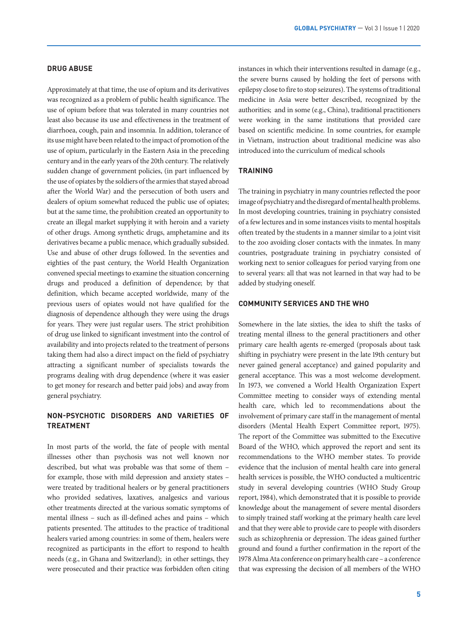#### **DRUG ABUSE**

Approximately at that time, the use of opium and its derivatives was recognized as a problem of public health significance. The use of opium before that was tolerated in many countries not least also because its use and effectiveness in the treatment of diarrhoea, cough, pain and insomnia. In addition, tolerance of its use might have been related to the impact of promotion of the use of opium, particularly in the Eastern Asia in the preceding century and in the early years of the 20th century. The relatively sudden change of government policies, (in part influenced by the use of opiates by the soldiers of the armies that stayed abroad after the World War) and the persecution of both users and dealers of opium somewhat reduced the public use of opiates; but at the same time, the prohibition created an opportunity to create an illegal market supplying it with heroin and a variety of other drugs. Among synthetic drugs, amphetamine and its derivatives became a public menace, which gradually subsided. Use and abuse of other drugs followed. In the seventies and eighties of the past century, the World Health Organization convened special meetings to examine the situation concerning drugs and produced a definition of dependence; by that definition, which became accepted worldwide, many of the previous users of opiates would not have qualified for the diagnosis of dependence although they were using the drugs for years. They were just regular users. The strict prohibition of drug use linked to significant investment into the control of availability and into projects related to the treatment of persons taking them had also a direct impact on the field of psychiatry attracting a significant number of specialists towards the programs dealing with drug dependence (where it was easier to get money for research and better paid jobs) and away from general psychiatry.

# **NON-PSYCHOTIC DISORDERS AND VARIETIES OF TREATMENT**

In most parts of the world, the fate of people with mental illnesses other than psychosis was not well known nor described, but what was probable was that some of them – for example, those with mild depression and anxiety states – were treated by traditional healers or by general practitioners who provided sedatives, laxatives, analgesics and various other treatments directed at the various somatic symptoms of mental illness – such as ill-defined aches and pains – which patients presented. The attitudes to the practice of traditional healers varied among countries: in some of them, healers were recognized as participants in the effort to respond to health needs (e.g., in Ghana and Switzerland); in other settings, they were prosecuted and their practice was forbidden often citing

instances in which their interventions resulted in damage (e.g., the severe burns caused by holding the feet of persons with epilepsy close to fire to stop seizures). The systems of traditional medicine in Asia were better described, recognized by the authorities; and in some (e.g., China), traditional practitioners were working in the same institutions that provided care based on scientific medicine. In some countries, for example in Vietnam, instruction about traditional medicine was also introduced into the curriculum of medical schools

## **TRAINING**

The training in psychiatry in many countries reflected the poor image of psychiatry and the disregard of mental health problems. In most developing countries, training in psychiatry consisted of a few lectures and in some instances visits to mental hospitals often treated by the students in a manner similar to a joint visit to the zoo avoiding closer contacts with the inmates. In many countries, postgraduate training in psychiatry consisted of working next to senior colleagues for period varying from one to several years: all that was not learned in that way had to be added by studying oneself.

#### **COMMUNITY SERVICES AND THE WHO**

Somewhere in the late sixties, the idea to shift the tasks of treating mental illness to the general practitioners and other primary care health agents re-emerged (proposals about task shifting in psychiatry were present in the late 19th century but never gained general acceptance) and gained popularity and general acceptance. This was a most welcome development. In 1973, we convened a World Health Organization Expert Committee meeting to consider ways of extending mental health care, which led to recommendations about the involvement of primary care staff in the management of mental disorders (Mental Health Expert Committee report, 1975). The report of the Committee was submitted to the Executive Board of the WHO, which approved the report and sent its recommendations to the WHO member states. To provide evidence that the inclusion of mental health care into general health services is possible, the WHO conducted a multicentric study in several developing countries (WHO Study Group report, 1984), which demonstrated that it is possible to provide knowledge about the management of severe mental disorders to simply trained staff working at the primary health care level and that they were able to provide care to people with disorders such as schizophrenia or depression. The ideas gained further ground and found a further confirmation in the report of the 1978 Alma Ata conference on primary health care – a conference that was expressing the decision of all members of the WHO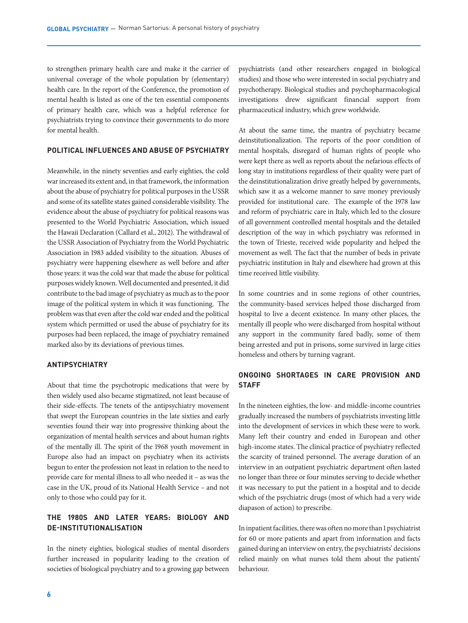to strengthen primary health care and make it the carrier of universal coverage of the whole population by (elementary) health care. In the report of the Conference, the promotion of mental health is listed as one of the ten essential components of primary health care, which was a helpful reference for psychiatrists trying to convince their governments to do more for mental health.

## **POLITICAL INFLUENCES AND ABUSE OF PSYCHIATRY**

Meanwhile, in the ninety seventies and early eighties, the cold war increased its extent and, in that framework, the information about the abuse of psychiatry for political purposes in the USSR and some of its satellite states gained considerable visibility. The evidence about the abuse of psychiatry for political reasons was presented to the World Psychiatric Association, which issued the Hawaii Declaration (Callard et al., 2012). The withdrawal of the USSR Association of Psychiatry from the World Psychiatric Association in 1983 added visibility to the situation. Abuses of psychiatry were happening elsewhere as well before and after those years: it was the cold war that made the abuse for political purposes widely known. Well documented and presented, it did contribute to the bad image of psychiatry as much as to the poor image of the political system in which it was functioning. The problem was that even after the cold war ended and the political system which permitted or used the abuse of psychiatry for its purposes had been replaced, the image of psychiatry remained marked also by its deviations of previous times.

## **ANTIPSYCHIATRY**

About that time the psychotropic medications that were by then widely used also became stigmatized, not least because of their side-effects. The tenets of the antipsychiatry movement that swept the European countries in the late sixties and early seventies found their way into progressive thinking about the organization of mental health services and about human rights of the mentally ill. The spirit of the 1968 youth movement in Europe also had an impact on psychiatry when its activists begun to enter the profession not least in relation to the need to provide care for mental illness to all who needed it – as was the case in the UK, proud of its National Health Service – and not only to those who could pay for it.

# **THE 1980S AND LATER YEARS: BIOLOGY AND DE-INSTITUTIONALISATION**

In the ninety eighties, biological studies of mental disorders further increased in popularity leading to the creation of societies of biological psychiatry and to a growing gap between psychiatrists (and other researchers engaged in biological studies) and those who were interested in social psychiatry and psychotherapy. Biological studies and psychopharmacological investigations drew significant financial support from pharmaceutical industry, which grew worldwide.

At about the same time, the mantra of psychiatry became deinstitutionalization. The reports of the poor condition of mental hospitals, disregard of human rights of people who were kept there as well as reports about the nefarious effects of long stay in institutions regardless of their quality were part of the deinstitutionalization drive greatly helped by governments, which saw it as a welcome manner to save money previously provided for institutional care. The example of the 1978 law and reform of psychiatric care in Italy, which led to the closure of all government controlled mental hospitals and the detailed description of the way in which psychiatry was reformed in the town of Trieste, received wide popularity and helped the movement as well. The fact that the number of beds in private psychiatric institution in Italy and elsewhere had grown at this time received little visibility.

In some countries and in some regions of other countries, the community-based services helped those discharged from hospital to live a decent existence. In many other places, the mentally ill people who were discharged from hospital without any support in the community fared badly, some of them being arrested and put in prisons, some survived in large cities homeless and others by turning vagrant.

# **ONGOING SHORTAGES IN CARE PROVISION AND STAFF**

In the nineteen eighties, the low- and middle-income countries gradually increased the numbers of psychiatrists investing little into the development of services in which these were to work. Many left their country and ended in European and other high-income states. The clinical practice of psychiatry reflected the scarcity of trained personnel. The average duration of an interview in an outpatient psychiatric department often lasted no longer than three or four minutes serving to decide whether it was necessary to put the patient in a hospital and to decide which of the psychiatric drugs (most of which had a very wide diapason of action) to prescribe.

In inpatient facilities, there was often no more than 1 psychiatrist for 60 or more patients and apart from information and facts gained during an interview on entry, the psychiatrists' decisions relied mainly on what nurses told them about the patients' behaviour.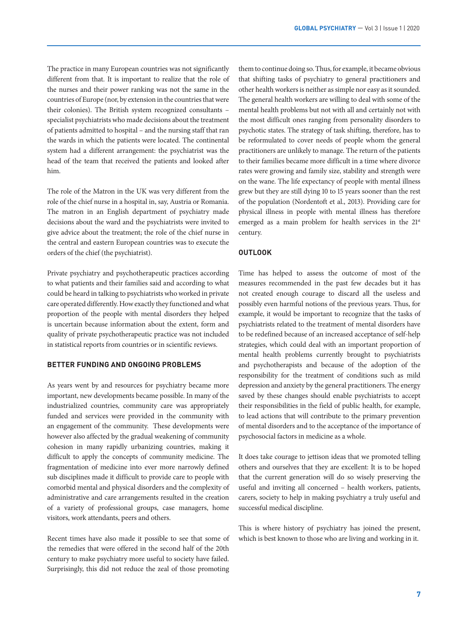The practice in many European countries was not significantly different from that. It is important to realize that the role of the nurses and their power ranking was not the same in the countries of Europe (nor, by extension in the countries that were their colonies). The British system recognized consultants – specialist psychiatrists who made decisions about the treatment of patients admitted to hospital – and the nursing staff that ran the wards in which the patients were located. The continental system had a different arrangement: the psychiatrist was the head of the team that received the patients and looked after him.

The role of the Matron in the UK was very different from the role of the chief nurse in a hospital in, say, Austria or Romania. The matron in an English department of psychiatry made decisions about the ward and the psychiatrists were invited to give advice about the treatment; the role of the chief nurse in the central and eastern European countries was to execute the orders of the chief (the psychiatrist).

Private psychiatry and psychotherapeutic practices according to what patients and their families said and according to what could be heard in talking to psychiatrists who worked in private care operated differently. How exactly they functioned and what proportion of the people with mental disorders they helped is uncertain because information about the extent, form and quality of private psychotherapeutic practice was not included in statistical reports from countries or in scientific reviews.

## **BETTER FUNDING AND ONGOING PROBLEMS**

As years went by and resources for psychiatry became more important, new developments became possible. In many of the industrialized countries, community care was appropriately funded and services were provided in the community with an engagement of the community. These developments were however also affected by the gradual weakening of community cohesion in many rapidly urbanizing countries, making it difficult to apply the concepts of community medicine. The fragmentation of medicine into ever more narrowly defined sub disciplines made it difficult to provide care to people with comorbid mental and physical disorders and the complexity of administrative and care arrangements resulted in the creation of a variety of professional groups, case managers, home visitors, work attendants, peers and others.

Recent times have also made it possible to see that some of the remedies that were offered in the second half of the 20th century to make psychiatry more useful to society have failed. Surprisingly, this did not reduce the zeal of those promoting

them to continue doing so. Thus, for example, it became obvious that shifting tasks of psychiatry to general practitioners and other health workers is neither as simple nor easy as it sounded. The general health workers are willing to deal with some of the mental health problems but not with all and certainly not with the most difficult ones ranging from personality disorders to psychotic states. The strategy of task shifting, therefore, has to be reformulated to cover needs of people whom the general practitioners are unlikely to manage. The return of the patients to their families became more difficult in a time where divorce rates were growing and family size, stability and strength were on the wane. The life expectancy of people with mental illness grew but they are still dying 10 to 15 years sooner than the rest of the population (Nordentoft et al., 2013). Providing care for physical illness in people with mental illness has therefore emerged as a main problem for health services in the 21<sup>st</sup> century.

#### **OUTLOOK**

Time has helped to assess the outcome of most of the measures recommended in the past few decades but it has not created enough courage to discard all the useless and possibly even harmful notions of the previous years. Thus, for example, it would be important to recognize that the tasks of psychiatrists related to the treatment of mental disorders have to be redefined because of an increased acceptance of self-help strategies, which could deal with an important proportion of mental health problems currently brought to psychiatrists and psychotherapists and because of the adoption of the responsibility for the treatment of conditions such as mild depression and anxiety by the general practitioners. The energy saved by these changes should enable psychiatrists to accept their responsibilities in the field of public health, for example, to lead actions that will contribute to the primary prevention of mental disorders and to the acceptance of the importance of psychosocial factors in medicine as a whole.

It does take courage to jettison ideas that we promoted telling others and ourselves that they are excellent: It is to be hoped that the current generation will do so wisely preserving the useful and inviting all concerned – health workers, patients, carers, society to help in making psychiatry a truly useful and successful medical discipline.

This is where history of psychiatry has joined the present, which is best known to those who are living and working in it.